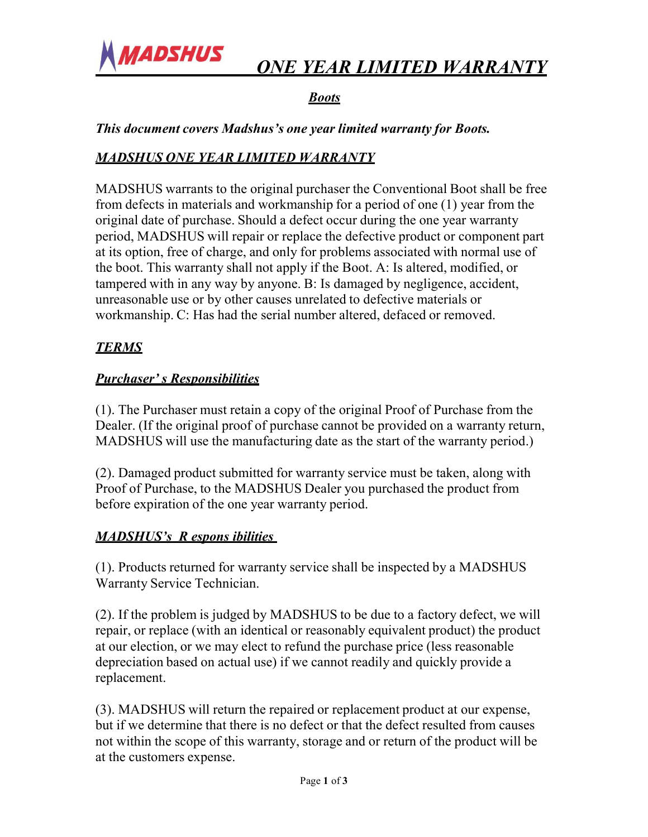

## *ONE YEAR LIMITED WARRANTY*

## *Boots*

*This document covers Madshus's one year limited warranty for Boots.*

#### *MADSHUS ONE YEAR LIMITED WARRANTY*

MADSHUS warrants to the original purchaser the Conventional Boot shall be free from defects in materials and workmanship for a period of one (1) year from the original date of purchase. Should a defect occur during the one year warranty period, MADSHUS will repair or replace the defective product or component part at its option, free of charge, and only for problems associated with normal use of the boot. This warranty shall not apply if the Boot. A: Is altered, modified, or tampered with in any way by anyone. B: Is damaged by negligence, accident, unreasonable use or by other causes unrelated to defective materials or workmanship. C: Has had the serial number altered, defaced or removed.

### *TERMS*

#### *Purchaser' s Responsibilities*

(1). The Purchaser must retain a copy of the original Proof of Purchase from the Dealer. (If the original proof of purchase cannot be provided on a warranty return, MADSHUS will use the manufacturing date as the start of the warranty period.)

(2). Damaged product submitted for warranty service must be taken, along with Proof of Purchase, to the MADSHUS Dealer you purchased the product from before expiration of the one year warranty period.

#### *MADSHUS's R espons ibilities*

(1). Products returned for warranty service shall be inspected by a MADSHUS Warranty Service Technician.

(2). If the problem is judged by MADSHUS to be due to a factory defect, we will repair, or replace (with an identical or reasonably equivalent product) the product at our election, or we may elect to refund the purchase price (less reasonable depreciation based on actual use) if we cannot readily and quickly provide a replacement.

(3). MADSHUS will return the repaired or replacement product at our expense, but if we determine that there is no defect or that the defect resulted from causes not within the scope of this warranty, storage and or return of the product will be at the customers expense.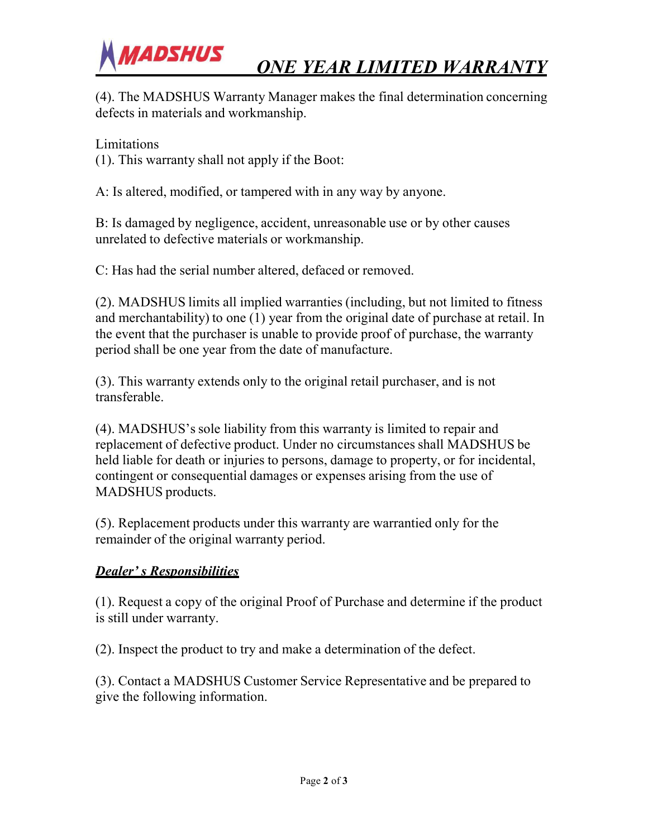*ONE YEAR LIMITED WARRANTY*



#### Limitations

**MADSHUS** 

(1). This warranty shall not apply if the Boot:

A: Is altered, modified, or tampered with in any way by anyone.

B: Is damaged by negligence, accident, unreasonable use or by other causes unrelated to defective materials or workmanship.

C: Has had the serial number altered, defaced or removed.

(2). MADSHUS limits all implied warranties (including, but not limited to fitness and merchantability) to one (1) year from the original date of purchase at retail. In the event that the purchaser is unable to provide proof of purchase, the warranty period shall be one year from the date of manufacture.

(3). This warranty extends only to the original retail purchaser, and is not transferable.

(4). MADSHUS'ssole liability from this warranty is limited to repair and replacement of defective product. Under no circumstances shall MADSHUS be held liable for death or injuries to persons, damage to property, or for incidental, contingent or consequential damages or expenses arising from the use of MADSHUS products.

(5). Replacement products under this warranty are warrantied only for the remainder of the original warranty period.

#### *Dealer' s Responsibilities*

(1). Request a copy of the original Proof of Purchase and determine if the product is still under warranty.

(2). Inspect the product to try and make a determination of the defect.

(3). Contact a MADSHUS Customer Service Representative and be prepared to give the following information.